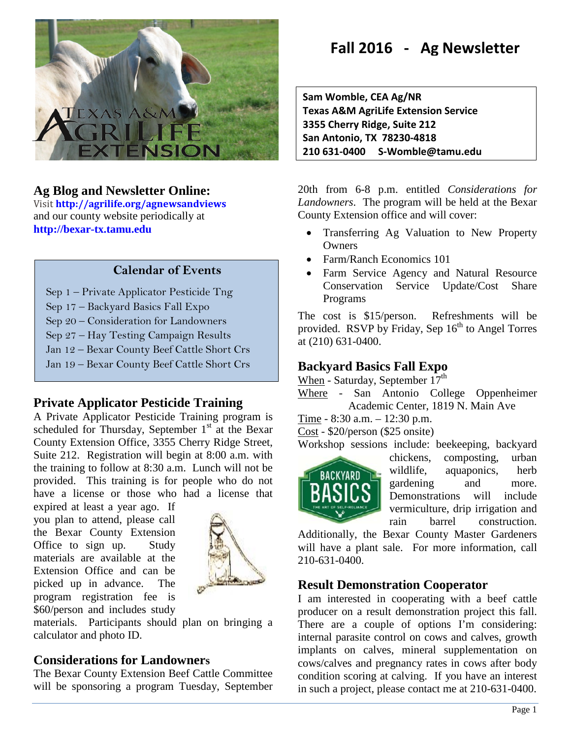

# **Ag Blog and Newsletter Online:**

Visit **<http://agrilife.org/agnewsandviews>** and our county website periodically at **[http://bexar-tx.tamu.edu](http://bexar-tx.tamu.edu/)**

#### **Calendar of Events**

- Sep 1 Private Applicator Pesticide Tng
- Sep 17 Backyard Basics Fall Expo
- Sep 20 Consideration for Landowners
- **-** Sep 27 – Hay Testing Campaign Results
- Jan 12 Bexar County Beef Cattle Short Crs
- Jan 19 Bexar County Beef Cattle Short Crs

### **Private Applicator Pesticide Training**

A Private Applicator Pesticide Training program is scheduled for Thursday, September  $1<sup>st</sup>$  at the Bexar County Extension Office, 3355 Cherry Ridge Street, Suite 212. Registration will begin at 8:00 a.m. with the training to follow at 8:30 a.m. Lunch will not be provided. This training is for people who do not have a license or those who had a license that

expired at least a year ago. If you plan to attend, please call the Bexar County Extension Office to sign up. Study materials are available at the Extension Office and can be picked up in advance. The program registration fee is \$60/person and includes study



materials. Participants should plan on bringing a calculator and photo ID.

### **Considerations for Landowners**

The Bexar County Extension Beef Cattle Committee will be sponsoring a program Tuesday, September

# **Fall 2016 - Ag Newsletter**

**Sam Womble, CEA Ag/NR Texas A&M AgriLife Extension Service 3355 Cherry Ridge, Suite 212 San Antonio, TX 78230-4818 210 631-0400 S-Womble@tamu.edu**

20th from 6-8 p.m. entitled *Considerations for Landowners*. The program will be held at the Bexar County Extension office and will cover:

- Transferring Ag Valuation to New Property **Owners**
- Farm/Ranch Economics 101
- Farm Service Agency and Natural Resource Conservation Service Update/Cost Share Programs

The cost is \$15/person. Refreshments will be provided. RSVP by Friday, Sep  $16<sup>th</sup>$  to Angel Torres at (210) 631-0400.

# **Backyard Basics Fall Expo**

When - Saturday, September  $17<sup>th</sup>$ 

Where - San Antonio College Oppenheimer Academic Center, 1819 N. Main Ave

- Time 8:30 a.m. 12:30 p.m.
- Cost \$20/person (\$25 onsite)

Workshop sessions include: beekeeping, backyard



chickens, composting, urban wildlife, aquaponics, herb gardening and more. Demonstrations will include vermiculture, drip irrigation and rain barrel construction.

Additionally, the Bexar County Master Gardeners will have a plant sale. For more information, call 210-631-0400.

### **Result Demonstration Cooperator**

I am interested in cooperating with a beef cattle producer on a result demonstration project this fall. There are a couple of options I'm considering: internal parasite control on cows and calves, growth implants on calves, mineral supplementation on cows/calves and pregnancy rates in cows after body condition scoring at calving. If you have an interest in such a project, please contact me at 210-631-0400.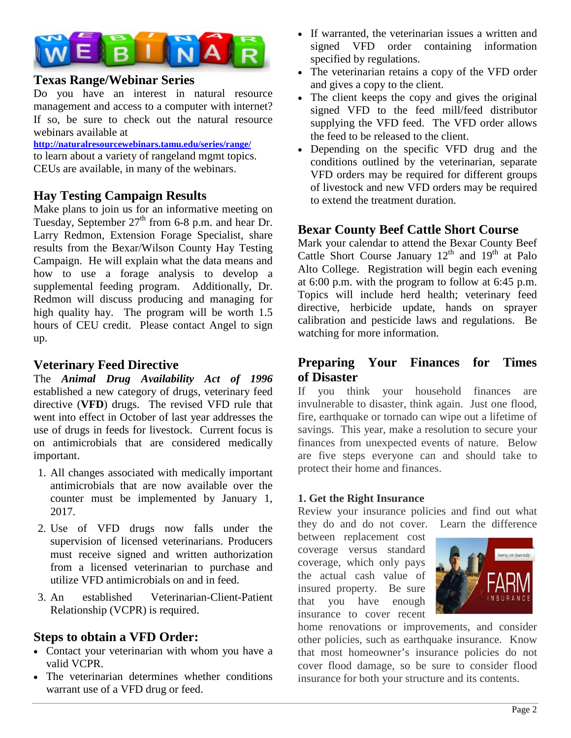

### **Texas Range/Webinar Series**

Do you have an interest in natural resource management and access to a computer with internet? If so, be sure to check out the natural resource webinars available at

**<http://naturalresourcewebinars.tamu.edu/series/range/>** to learn about a variety of rangeland mgmt topics. CEUs are available, in many of the webinars.

# **Hay Testing Campaign Results**

Make plans to join us for an informative meeting on Tuesday, September  $27<sup>th</sup>$  from 6-8 p.m. and hear Dr. Larry Redmon, Extension Forage Specialist, share results from the Bexar/Wilson County Hay Testing Campaign. He will explain what the data means and how to use a forage analysis to develop a supplemental feeding program. Additionally, Dr. Redmon will discuss producing and managing for high quality hay. The program will be worth 1.5 hours of CEU credit. Please contact Angel to sign up.

# **Veterinary Feed Directive**

The *Animal Drug Availability Act of 1996* established a new category of drugs, veterinary feed directive (**VFD**) drugs. The revised VFD rule that went into effect in October of last year addresses the use of drugs in feeds for livestock. Current focus is on antimicrobials that are considered medically important.

- 1. All changes associated with medically important antimicrobials that are now available over the counter must be implemented by January 1, 2017.
- 2. Use of VFD drugs now falls under the supervision of licensed veterinarians. Producers must receive signed and written authorization from a licensed veterinarian to purchase and utilize VFD antimicrobials on and in feed.
- 3. An established Veterinarian-Client-Patient Relationship (VCPR) is required.

# **Steps to obtain a VFD Order:**

- Contact your veterinarian with whom you have a valid VCPR.
- The veterinarian determines whether conditions warrant use of a VFD drug or feed.
- If warranted, the veterinarian issues a written and signed VFD order containing information specified by regulations.
- The veterinarian retains a copy of the VFD order and gives a copy to the client.
- The client keeps the copy and gives the original signed VFD to the feed mill/feed distributor supplying the VFD feed. The VFD order allows the feed to be released to the client.
- Depending on the specific VFD drug and the conditions outlined by the veterinarian, separate VFD orders may be required for different groups of livestock and new VFD orders may be required to extend the treatment duration.

# **Bexar County Beef Cattle Short Course**

Mark your calendar to attend the Bexar County Beef Cattle Short Course January  $12<sup>th</sup>$  and  $19<sup>th</sup>$  at Palo Alto College. Registration will begin each evening at 6:00 p.m. with the program to follow at 6:45 p.m. Topics will include herd health; veterinary feed directive, herbicide update, hands on sprayer calibration and pesticide laws and regulations. Be watching for more information.

# **Preparing Your Finances for Times of Disaster**

If you think your household finances are invulnerable to disaster, think again. Just one flood, fire, earthquake or tornado can wipe out a lifetime of savings. This year, make a resolution to secure your finances from unexpected events of nature. Below are five steps everyone can and should take to protect their home and finances.

#### **1. Get the Right Insurance**

Review your insurance policies and find out what they do and do not cover. Learn the difference

between replacement cost coverage versus standard coverage, which only pays the actual cash value of insured property. Be sure that you have enough insurance to cover recent



home renovations or improvements, and consider other policies, such as earthquake insurance. Know that most homeowner's insurance policies do not cover flood damage, so be sure to consider flood insurance for both your structure and its contents.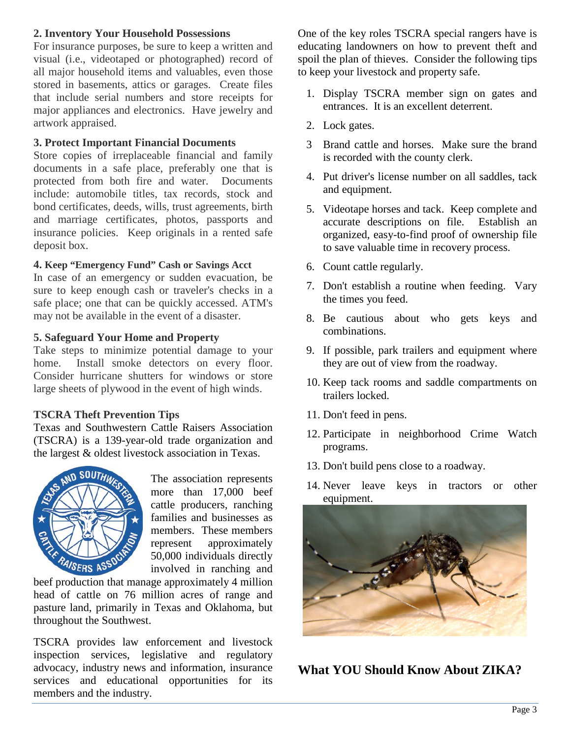#### **2. Inventory Your Household Possessions**

For insurance purposes, be sure to keep a written and visual (i.e., videotaped or photographed) record of all major household items and valuables, even those stored in basements, attics or garages. Create files that include serial numbers and store receipts for major appliances and electronics. Have jewelry and artwork appraised.

#### **3. Protect Important Financial Documents**

Store copies of irreplaceable financial and family documents in a safe place, preferably one that is protected from both fire and water. Documents include: automobile titles, tax records, stock and bond certificates, deeds, wills, trust agreements, birth and marriage certificates, photos, passports and insurance policies. Keep originals in a rented safe deposit box.

#### **4. Keep "Emergency Fund" Cash or Savings Acct**

In case of an emergency or sudden evacuation, be sure to keep enough cash or traveler's checks in a safe place; one that can be quickly accessed. ATM's may not be available in the event of a disaster.

#### **5. Safeguard Your Home and Property**

Take steps to minimize potential damage to your home. Install smoke detectors on every floor. Consider hurricane shutters for windows or store large sheets of plywood in the event of high winds.

#### **TSCRA Theft Prevention Tips**

Texas and Southwestern Cattle Raisers Association (TSCRA) is a 139-year-old trade organization and the largest & oldest livestock association in Texas.



The association represents more than 17,000 beef cattle producers, ranching families and businesses as members. These members represent approximately 50,000 individuals directly involved in ranching and represent<br>50,000 individuals directly<br>beef production that manage approximately 4 million

head of cattle on 76 million acres of range and pasture land, primarily in Texas and Oklahoma, but throughout the Southwest.

TSCRA provides law enforcement and livestock inspection services, legislative and regulatory advocacy, industry news and information, insurance services and educational opportunities for its members and the industry.

One of the key roles TSCRA special rangers have is educating landowners on how to prevent theft and spoil the plan of thieves. Consider the following tips to keep your livestock and property safe.

- 1. Display TSCRA member sign on gates and entrances. It is an excellent deterrent.
- 2. Lock gates.
- 3 Brand cattle and horses. Make sure the brand is recorded with the county clerk.
- 4. Put driver's license number on all saddles, tack and equipment.
- 5. Videotape horses and tack. Keep complete and accurate descriptions on file. organized, easy-to-find proof of ownership file to save valuable time in recovery process.
- 6. Count cattle regularly.
- 7. Don't establish a routine when feeding. Vary the times you feed.
- 8. Be cautious about who gets keys and combinations.
- 9. If possible, park trailers and equipment where they are out of view from the roadway.
- 10. Keep tack rooms and saddle compartments on trailers locked.
- 11. Don't feed in pens.
- 12. Participate in neighborhood Crime Watch programs.
- 13. Don't build pens close to a roadway.
- 14. Never leave keys in tractors or other equipment.



**What YOU Should Know About ZIKA?**